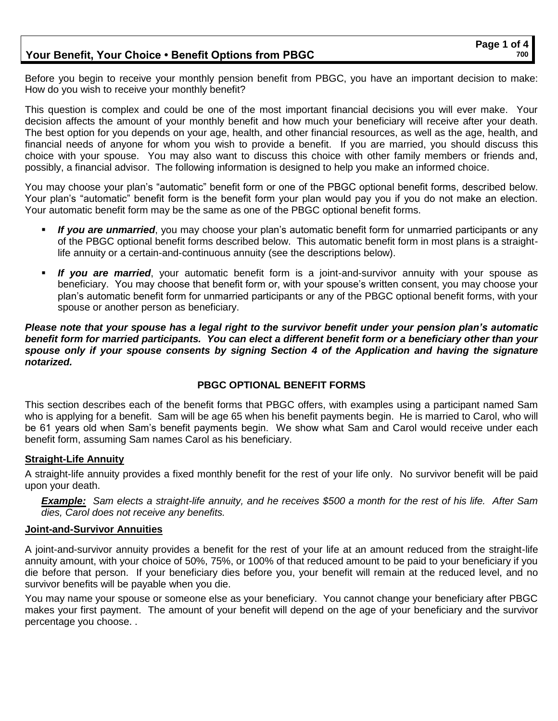## **Your Benefit, Your Choice • Benefit Options from PBGC**

Before you begin to receive your monthly pension benefit from PBGC, you have an important decision to make: How do you wish to receive your monthly benefit?

This question is complex and could be one of the most important financial decisions you will ever make. Your decision affects the amount of your monthly benefit and how much your beneficiary will receive after your death. The best option for you depends on your age, health, and other financial resources, as well as the age, health, and financial needs of anyone for whom you wish to provide a benefit. If you are married, you should discuss this choice with your spouse. You may also want to discuss this choice with other family members or friends and, possibly, a financial advisor. The following information is designed to help you make an informed choice.

You may choose your plan's "automatic" benefit form or one of the PBGC optional benefit forms, described below. Your plan's "automatic" benefit form is the benefit form your plan would pay you if you do not make an election. Your automatic benefit form may be the same as one of the PBGC optional benefit forms.

- If you are unmarried, you may choose your plan's automatic benefit form for unmarried participants or any of the PBGC optional benefit forms described below. This automatic benefit form in most plans is a straightlife annuity or a certain-and-continuous annuity (see the descriptions below).
- **If you are married**, your automatic benefit form is a joint-and-survivor annuity with your spouse as beneficiary. You may choose that benefit form or, with your spouse's written consent, you may choose your plan's automatic benefit form for unmarried participants or any of the PBGC optional benefit forms, with your spouse or another person as beneficiary.

*Please note that your spouse has a legal right to the survivor benefit under your pension plan's automatic benefit form for married participants. You can elect a different benefit form or a beneficiary other than your spouse only if your spouse consents by signing Section 4 of the Application and having the signature notarized.* 

## **PBGC OPTIONAL BENEFIT FORMS**

This section describes each of the benefit forms that PBGC offers, with examples using a participant named Sam who is applying for a benefit. Sam will be age 65 when his benefit payments begin. He is married to Carol, who will be 61 years old when Sam's benefit payments begin. We show what Sam and Carol would receive under each benefit form, assuming Sam names Carol as his beneficiary.

#### **Straight-Life Annuity**

A straight-life annuity provides a fixed monthly benefit for the rest of your life only. No survivor benefit will be paid upon your death.

*Example: Sam elects a straight-life annuity, and he receives \$500 a month for the rest of his life. After Sam dies, Carol does not receive any benefits.*

#### **Joint-and-Survivor Annuities**

A joint-and-survivor annuity provides a benefit for the rest of your life at an amount reduced from the straight-life annuity amount, with your choice of 50%, 75%, or 100% of that reduced amount to be paid to your beneficiary if you die before that person. If your beneficiary dies before you, your benefit will remain at the reduced level, and no survivor benefits will be payable when you die.

You may name your spouse or someone else as your beneficiary. You cannot change your beneficiary after PBGC makes your first payment. The amount of your benefit will depend on the age of your beneficiary and the survivor percentage you choose. .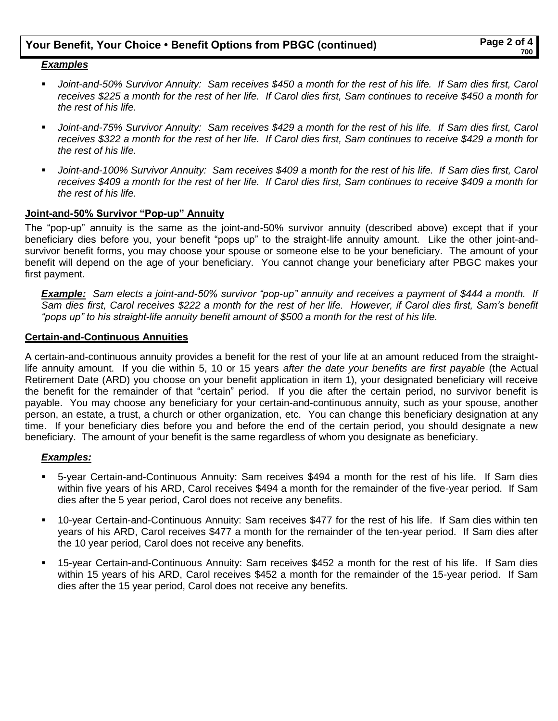# **Your Benefit, Your Choice • Benefit Options from PBGC (continued) Page 2 of 4**

## *Examples*

- Joint-and-50% Survivor Annuity: Sam receives \$450 a month for the rest of his life. If Sam dies first, Carol *receives \$225 a month for the rest of her life. If Carol dies first, Sam continues to receive \$450 a month for the rest of his life.*
- Joint-and-75% Survivor Annuity: Sam receives \$429 a month for the rest of his life. If Sam dies first, Carol *receives \$322 a month for the rest of her life. If Carol dies first, Sam continues to receive \$429 a month for the rest of his life.*
- *Joint-and-100% Survivor Annuity: Sam receives \$409 a month for the rest of his life. If Sam dies first, Carol receives \$409 a month for the rest of her life. If Carol dies first, Sam continues to receive \$409 a month for the rest of his life.*

#### **Joint-and-50% Survivor "Pop-up" Annuity**

The "pop-up" annuity is the same as the joint-and-50% survivor annuity (described above) except that if your beneficiary dies before you, your benefit "pops up" to the straight-life annuity amount. Like the other joint-andsurvivor benefit forms, you may choose your spouse or someone else to be your beneficiary. The amount of your benefit will depend on the age of your beneficiary. You cannot change your beneficiary after PBGC makes your first payment.

*Example: Sam elects a joint-and-50% survivor "pop-up" annuity and receives a payment of \$444 a month. If Sam dies first, Carol receives \$222 a month for the rest of her life. However, if Carol dies first, Sam's benefit "pops up" to his straight-life annuity benefit amount of \$500 a month for the rest of his life.*

#### **Certain-and-Continuous Annuities**

A certain-and-continuous annuity provides a benefit for the rest of your life at an amount reduced from the straightlife annuity amount. If you die within 5, 10 or 15 years *after the date your benefits are first payable* (the Actual Retirement Date (ARD) you choose on your benefit application in item 1), your designated beneficiary will receive the benefit for the remainder of that "certain" period. If you die after the certain period, no survivor benefit is payable. You may choose any beneficiary for your certain-and-continuous annuity, such as your spouse, another person, an estate, a trust, a church or other organization, etc. You can change this beneficiary designation at any time. If your beneficiary dies before you and before the end of the certain period, you should designate a new beneficiary. The amount of your benefit is the same regardless of whom you designate as beneficiary.

## *Examples:*

- 5-year Certain-and-Continuous Annuity: Sam receives \$494 a month for the rest of his life. If Sam dies within five years of his ARD, Carol receives \$494 a month for the remainder of the five-year period. If Sam dies after the 5 year period, Carol does not receive any benefits.
- 10-year Certain-and-Continuous Annuity: Sam receives \$477 for the rest of his life. If Sam dies within ten years of his ARD, Carol receives \$477 a month for the remainder of the ten-year period. If Sam dies after the 10 year period, Carol does not receive any benefits.
- 15-year Certain-and-Continuous Annuity: Sam receives \$452 a month for the rest of his life. If Sam dies within 15 years of his ARD, Carol receives \$452 a month for the remainder of the 15-year period. If Sam dies after the 15 year period, Carol does not receive any benefits.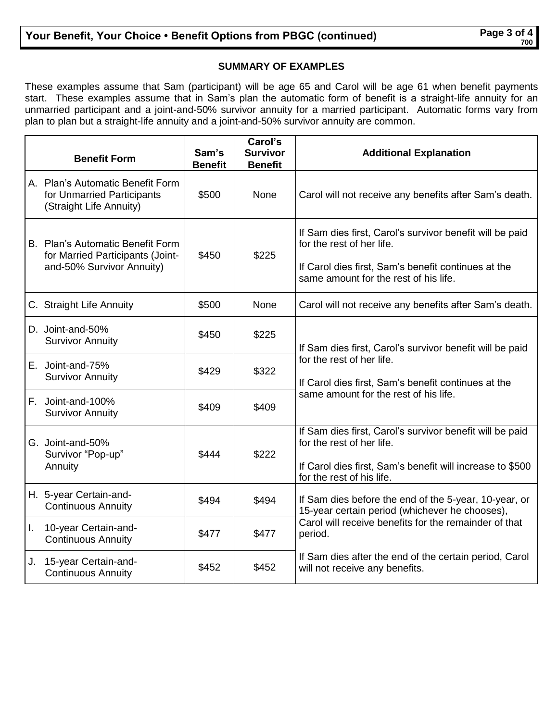# **SUMMARY OF EXAMPLES**

These examples assume that Sam (participant) will be age 65 and Carol will be age 61 when benefit payments start. These examples assume that in Sam's plan the automatic form of benefit is a straight-life annuity for an unmarried participant and a joint-and-50% survivor annuity for a married participant. Automatic forms vary from plan to plan but a straight-life annuity and a joint-and-50% survivor annuity are common.

|    | <b>Benefit Form</b>                                                                               | Sam's<br><b>Benefit</b> | Carol's<br><b>Survivor</b><br><b>Benefit</b> | <b>Additional Explanation</b>                                                                                                                                                         |
|----|---------------------------------------------------------------------------------------------------|-------------------------|----------------------------------------------|---------------------------------------------------------------------------------------------------------------------------------------------------------------------------------------|
|    | A. Plan's Automatic Benefit Form<br>for Unmarried Participants<br>(Straight Life Annuity)         | \$500                   | None                                         | Carol will not receive any benefits after Sam's death.                                                                                                                                |
|    | B. Plan's Automatic Benefit Form<br>for Married Participants (Joint-<br>and-50% Survivor Annuity) | \$450                   | \$225                                        | If Sam dies first, Carol's survivor benefit will be paid<br>for the rest of her life.<br>If Carol dies first, Sam's benefit continues at the<br>same amount for the rest of his life. |
|    | C. Straight Life Annuity                                                                          | \$500                   | None                                         | Carol will not receive any benefits after Sam's death.                                                                                                                                |
|    | D. Joint-and-50%<br><b>Survivor Annuity</b>                                                       | \$450                   | \$225                                        | If Sam dies first, Carol's survivor benefit will be paid<br>for the rest of her life.<br>If Carol dies first, Sam's benefit continues at the<br>same amount for the rest of his life. |
|    | E. Joint-and-75%<br><b>Survivor Annuity</b>                                                       | \$429                   | \$322                                        |                                                                                                                                                                                       |
|    | F. Joint-and-100%<br><b>Survivor Annuity</b>                                                      | \$409                   | \$409                                        |                                                                                                                                                                                       |
|    | G. Joint-and-50%<br>Survivor "Pop-up"<br>Annuity                                                  | \$444                   | \$222                                        | If Sam dies first, Carol's survivor benefit will be paid<br>for the rest of her life.<br>If Carol dies first, Sam's benefit will increase to \$500<br>for the rest of his life.       |
|    | H. 5-year Certain-and-<br><b>Continuous Annuity</b>                                               | \$494                   | \$494                                        | If Sam dies before the end of the 5-year, 10-year, or<br>15-year certain period (whichever he chooses),<br>Carol will receive benefits for the remainder of that<br>period.           |
| L. | 10-year Certain-and-<br><b>Continuous Annuity</b>                                                 | \$477                   | \$477                                        |                                                                                                                                                                                       |
| J. | 15-year Certain-and-<br><b>Continuous Annuity</b>                                                 | \$452                   | \$452                                        | If Sam dies after the end of the certain period, Carol<br>will not receive any benefits.                                                                                              |